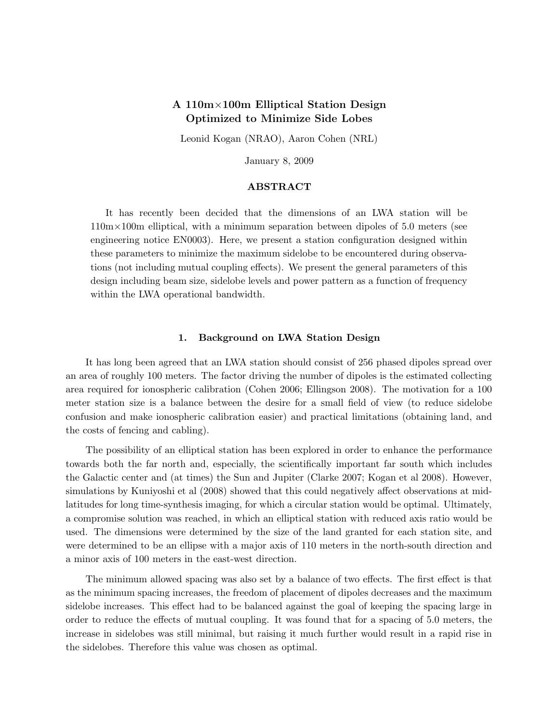# A 110m×100m Elliptical Station Design Optimized to Minimize Side Lobes

Leonid Kogan (NRAO), Aaron Cohen (NRL)

January 8, 2009

## ABSTRACT

It has recently been decided that the dimensions of an LWA station will be  $110 \text{m} \times 100 \text{m}$  elliptical, with a minimum separation between dipoles of 5.0 meters (see engineering notice EN0003). Here, we present a station configuration designed within these parameters to minimize the maximum sidelobe to be encountered during observations (not including mutual coupling effects). We present the general parameters of this design including beam size, sidelobe levels and power pattern as a function of frequency within the LWA operational bandwidth.

### 1. Background on LWA Station Design

It has long been agreed that an LWA station should consist of 256 phased dipoles spread over an area of roughly 100 meters. The factor driving the number of dipoles is the estimated collecting area required for ionospheric calibration (Cohen 2006; Ellingson 2008). The motivation for a 100 meter station size is a balance between the desire for a small field of view (to reduce sidelobe confusion and make ionospheric calibration easier) and practical limitations (obtaining land, and the costs of fencing and cabling).

The possibility of an elliptical station has been explored in order to enhance the performance towards both the far north and, especially, the scientifically important far south which includes the Galactic center and (at times) the Sun and Jupiter (Clarke 2007; Kogan et al 2008). However, simulations by Kuniyoshi et al (2008) showed that this could negatively affect observations at midlatitudes for long time-synthesis imaging, for which a circular station would be optimal. Ultimately, a compromise solution was reached, in which an elliptical station with reduced axis ratio would be used. The dimensions were determined by the size of the land granted for each station site, and were determined to be an ellipse with a major axis of 110 meters in the north-south direction and a minor axis of 100 meters in the east-west direction.

The minimum allowed spacing was also set by a balance of two effects. The first effect is that as the minimum spacing increases, the freedom of placement of dipoles decreases and the maximum sidelobe increases. This effect had to be balanced against the goal of keeping the spacing large in order to reduce the effects of mutual coupling. It was found that for a spacing of 5.0 meters, the increase in sidelobes was still minimal, but raising it much further would result in a rapid rise in the sidelobes. Therefore this value was chosen as optimal.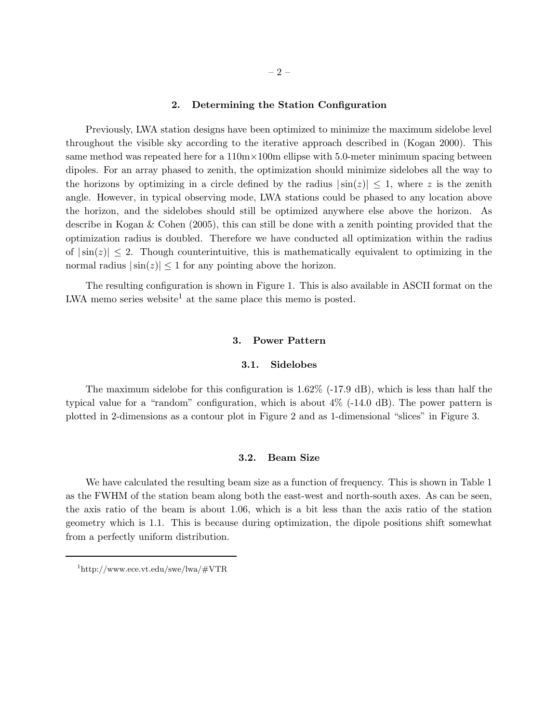#### 2. Determining the Station Configuration

Previously, LWA station designs have been optimized to minimize the maximum sidelobe level throughout the visible sky according to the iterative approach described in (Kogan 2000). This same method was repeated here for a  $110m \times 100m$  ellipse with 5.0-meter minimum spacing between dipoles. For an array phased to zenith, the optimization should minimize sidelobes all the way to the horizons by optimizing in a circle defined by the radius  $|\sin(z)| \leq 1$ , where z is the zenith angle. However, in typical observing mode, LWA stations could be phased to any location above the horizon, and the sidelobes should still be optimized anywhere else above the horizon. As describe in Kogan & Cohen (2005), this can still be done with a zenith pointing provided that the optimization radius is doubled. Therefore we have conducted all optimization within the radius of  $|\sin(z)| \leq 2$ . Though counterintuitive, this is mathematically equivalent to optimizing in the normal radius  $|\sin(z)| \leq 1$  for any pointing above the horizon.

The resulting configuration is shown in Figure 1. This is also available in ASCII format on the LWA memo series website<sup>1</sup> at the same place this memo is posted.

### 3. Power Pattern

#### 3.1. Sidelobes

The maximum sidelobe for this configuration is  $1.62\%$  (-17.9 dB), which is less than half the typical value for a "random" configuration, which is about 4% (-14.0 dB). The power pattern is plotted in 2-dimensions as a contour plot in Figure 2 and as 1-dimensional "slices" in Figure 3.

#### 3.2. Beam Size

We have calculated the resulting beam size as a function of frequency. This is shown in Table 1 as the FWHM of the station beam along both the east-west and north-south axes. As can be seen, the axis ratio of the beam is about 1.06, which is a bit less than the axis ratio of the station geometry which is 1.1. This is because during optimization, the dipole positions shift somewhat from a perfectly uniform distribution.

 $1$ http://www.ece.vt.edu/swe/lwa/#VTR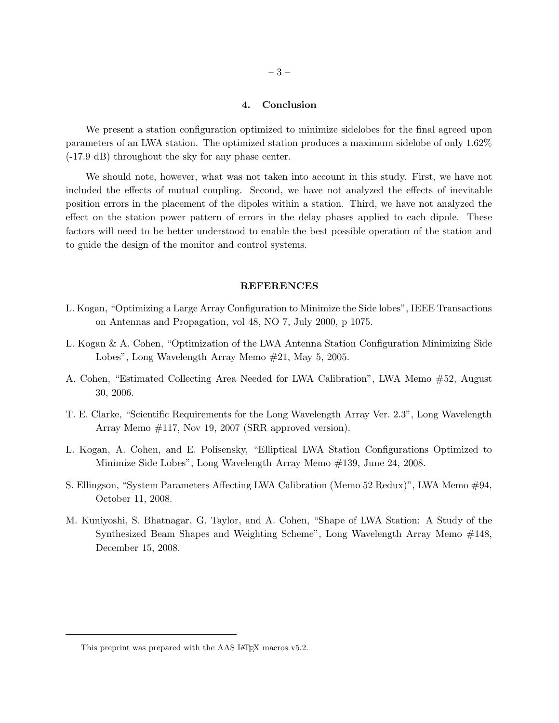### 4. Conclusion

We present a station configuration optimized to minimize sidelobes for the final agreed upon parameters of an LWA station. The optimized station produces a maximum sidelobe of only 1.62% (-17.9 dB) throughout the sky for any phase center.

We should note, however, what was not taken into account in this study. First, we have not included the effects of mutual coupling. Second, we have not analyzed the effects of inevitable position errors in the placement of the dipoles within a station. Third, we have not analyzed the effect on the station power pattern of errors in the delay phases applied to each dipole. These factors will need to be better understood to enable the best possible operation of the station and to guide the design of the monitor and control systems.

#### REFERENCES

- L. Kogan, "Optimizing a Large Array Configuration to Minimize the Side lobes", IEEE Transactions on Antennas and Propagation, vol 48, NO 7, July 2000, p 1075.
- L. Kogan & A. Cohen, "Optimization of the LWA Antenna Station Configuration Minimizing Side Lobes", Long Wavelength Array Memo #21, May 5, 2005.
- A. Cohen, "Estimated Collecting Area Needed for LWA Calibration", LWA Memo #52, August 30, 2006.
- T. E. Clarke, "Scientific Requirements for the Long Wavelength Array Ver. 2.3", Long Wavelength Array Memo #117, Nov 19, 2007 (SRR approved version).
- L. Kogan, A. Cohen, and E. Polisensky, "Elliptical LWA Station Configurations Optimized to Minimize Side Lobes", Long Wavelength Array Memo #139, June 24, 2008.
- S. Ellingson, "System Parameters Affecting LWA Calibration (Memo 52 Redux)", LWA Memo #94, October 11, 2008.
- M. Kuniyoshi, S. Bhatnagar, G. Taylor, and A. Cohen, "Shape of LWA Station: A Study of the Synthesized Beam Shapes and Weighting Scheme", Long Wavelength Array Memo #148, December 15, 2008.

This preprint was prepared with the AAS IATEX macros v5.2.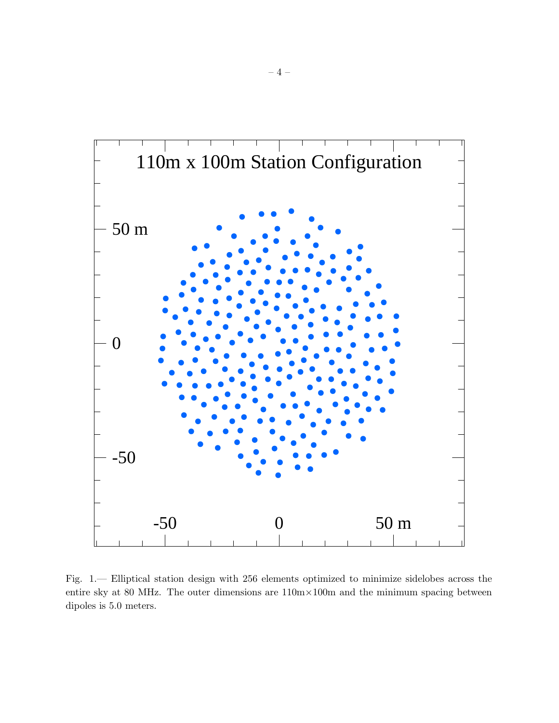

Fig. 1.— Elliptical station design with 256 elements optimized to minimize sidelobes across the entire sky at 80 MHz. The outer dimensions are 110m×100m and the minimum spacing between dipoles is 5.0 meters.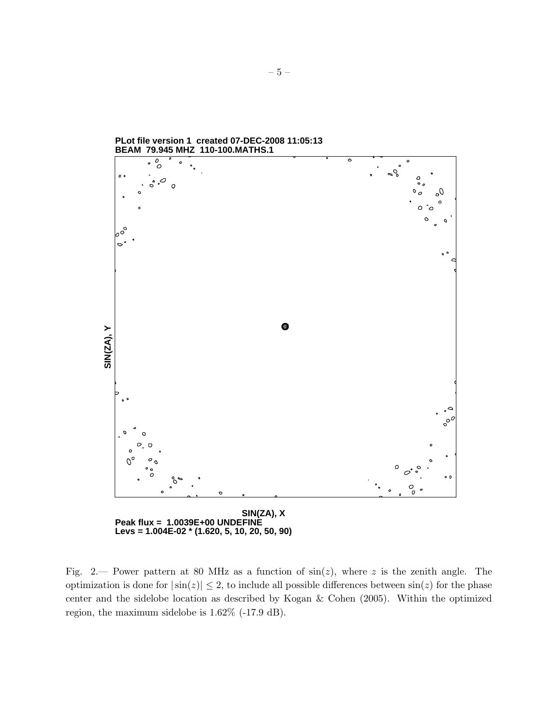

**PLot file version 1 created 07-DEC-2008 11:05:13**

Fig. 2.— Power pattern at 80 MHz as a function of  $sin(z)$ , where z is the zenith angle. The optimization is done for  $|\sin(z)| \leq 2$ , to include all possible differences between  $\sin(z)$  for the phase center and the sidelobe location as described by Kogan & Cohen (2005). Within the optimized region, the maximum sidelobe is 1.62% (-17.9 dB).

**Levs = 1.004E-02 \* (1.620, 5, 10, 20, 50, 90)**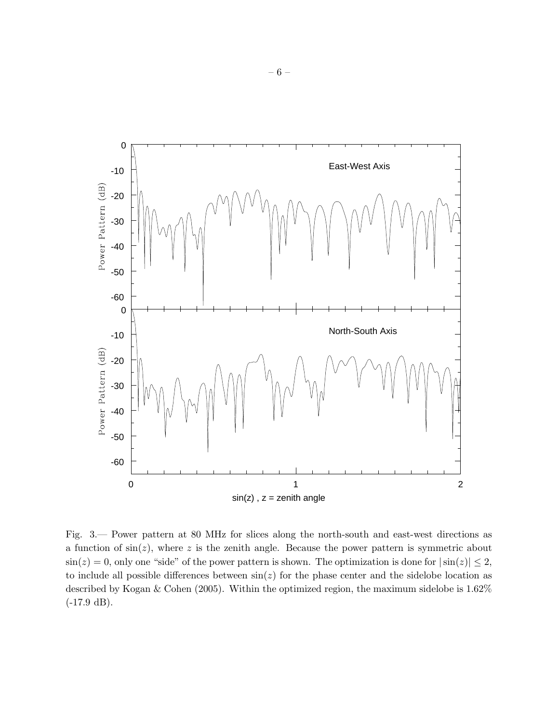

Fig. 3.— Power pattern at 80 MHz for slices along the north-south and east-west directions as a function of  $sin(z)$ , where z is the zenith angle. Because the power pattern is symmetric about  $\sin(z) = 0$ , only one "side" of the power pattern is shown. The optimization is done for  $|\sin(z)| \leq 2$ , to include all possible differences between  $sin(z)$  for the phase center and the sidelobe location as described by Kogan & Cohen (2005). Within the optimized region, the maximum sidelobe is 1.62% (-17.9 dB).